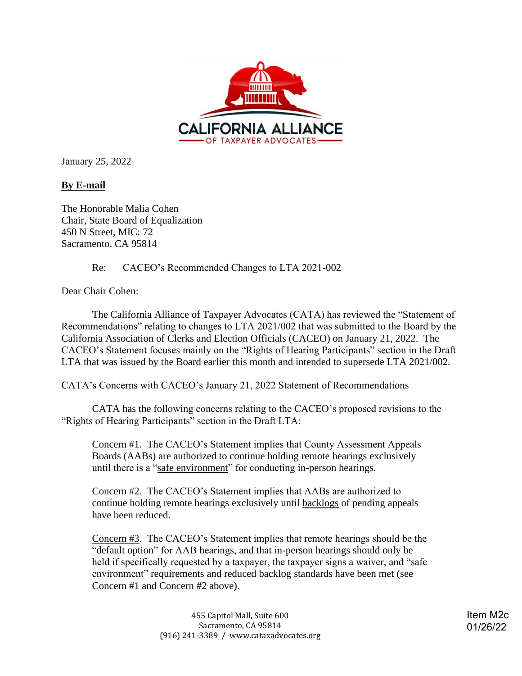

January 25, 2022

## **By E-mail**

The Honorable Malia Cohen Chair, State Board of Equalization 450 N Street, MIC: 72 Sacramento, CA 95814

Re: CACEO's Recommended Changes to LTA 2021-002

Dear Chair Cohen:

The California Alliance of Taxpayer Advocates (CATA) has reviewed the "Statement of Recommendations" relating to changes to LTA 2021/002 that was submitted to the Board by the California Association of Clerks and Election Officials (CACEO) on January 21, 2022. The CACEO's Statement focuses mainly on the "Rights of Hearing Participants" section in the Draft LTA that was issued by the Board earlier this month and intended to supersede LTA 2021/002.

CATA's Concerns with CACEO's January 21, 2022 Statement of Recommendations

CATA has the following concerns relating to the CACEO's proposed revisions to the "Rights of Hearing Participants" section in the Draft LTA:

Concern #1. The CACEO's Statement implies that County Assessment Appeals Boards (AABs) are authorized to continue holding remote hearings exclusively until there is a "safe environment" for conducting in-person hearings.

Concern #2. The CACEO's Statement implies that AABs are authorized to continue holding remote hearings exclusively until backlogs of pending appeals have been reduced.

Concern #3. The CACEO's Statement implies that remote hearings should be the "default option" for AAB hearings, and that in-person hearings should only be held if specifically requested by a taxpayer, the taxpayer signs a waiver, and "safe environment" requirements and reduced backlog standards have been met (see Concern #1 and Concern #2 above).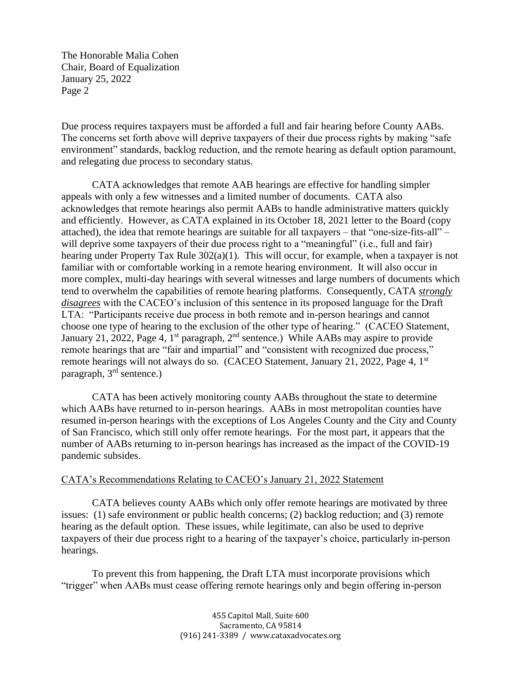Due process requires taxpayers must be afforded a full and fair hearing before County AABs. The concerns set forth above will deprive taxpayers of their due process rights by making "safe environment" standards, backlog reduction, and the remote hearing as default option paramount, and relegating due process to secondary status.

 tend to overwhelm the capabilities of remote hearing platforms. Consequently, CATA *strongly*  choose one type of hearing to the exclusion of the other type of hearing." (CACEO Statement, CATA acknowledges that remote AAB hearings are effective for handling simpler appeals with only a few witnesses and a limited number of documents. CATA also acknowledges that remote hearings also permit AABs to handle administrative matters quickly and efficiently. However, as CATA explained in its October 18, 2021 letter to the Board (copy attached), the idea that remote hearings are suitable for all taxpayers – that "one-size-fits-all" – will deprive some taxpayers of their due process right to a "meaningful" (i.e., full and fair) hearing under Property Tax Rule 302(a)(1). This will occur, for example, when a taxpayer is not familiar with or comfortable working in a remote hearing environment. It will also occur in more complex, multi-day hearings with several witnesses and large numbers of documents which *disagrees* with the CACEO's inclusion of this sentence in its proposed language for the Draft LTA: "Participants receive due process in both remote and in-person hearings and cannot January 21, 2022, Page 4,  $1<sup>st</sup>$  paragraph,  $2<sup>nd</sup>$  sentence.) While AABs may aspire to provide remote hearings that are "fair and impartial" and "consistent with recognized due process," remote hearings will not always do so. (CACEO Statement, January 21, 2022, Page 4, 1<sup>st</sup> paragraph, 3<sup>rd</sup> sentence.)

CATA has been actively monitoring county AABs throughout the state to determine which AABs have returned to in-person hearings. AABs in most metropolitan counties have resumed in-person hearings with the exceptions of Los Angeles County and the City and County of San Francisco, which still only offer remote hearings. For the most part, it appears that the number of AABs returning to in-person hearings has increased as the impact of the COVID-19 pandemic subsides.

## CATA's Recommendations Relating to CACEO's January 21, 2022 Statement

CATA believes county AABs which only offer remote hearings are motivated by three issues: (1) safe environment or public health concerns; (2) backlog reduction; and (3) remote hearing as the default option. These issues, while legitimate, can also be used to deprive taxpayers of their due process right to a hearing of the taxpayer's choice, particularly in-person hearings.

To prevent this from happening, the Draft LTA must incorporate provisions which "trigger" when AABs must cease offering remote hearings only and begin offering in-person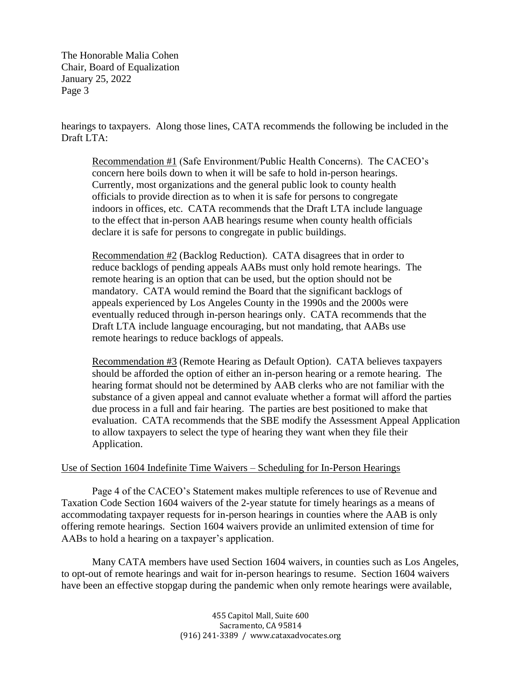hearings to taxpayers. Along those lines, CATA recommends the following be included in the Draft LTA:

Recommendation #1 (Safe Environment/Public Health Concerns). The CACEO's concern here boils down to when it will be safe to hold in-person hearings. Currently, most organizations and the general public look to county health officials to provide direction as to when it is safe for persons to congregate indoors in offices, etc. CATA recommends that the Draft LTA include language to the effect that in-person AAB hearings resume when county health officials declare it is safe for persons to congregate in public buildings.

Recommendation #2 (Backlog Reduction). CATA disagrees that in order to reduce backlogs of pending appeals AABs must only hold remote hearings. The remote hearing is an option that can be used, but the option should not be mandatory. CATA would remind the Board that the significant backlogs of appeals experienced by Los Angeles County in the 1990s and the 2000s were eventually reduced through in-person hearings only. CATA recommends that the Draft LTA include language encouraging, but not mandating, that AABs use remote hearings to reduce backlogs of appeals.

 substance of a given appeal and cannot evaluate whether a format will afford the parties Recommendation #3 (Remote Hearing as Default Option). CATA believes taxpayers should be afforded the option of either an in-person hearing or a remote hearing. The hearing format should not be determined by AAB clerks who are not familiar with the due process in a full and fair hearing. The parties are best positioned to make that evaluation. CATA recommends that the SBE modify the Assessment Appeal Application to allow taxpayers to select the type of hearing they want when they file their Application.

## Use of Section 1604 Indefinite Time Waivers – Scheduling for In-Person Hearings

Page 4 of the CACEO's Statement makes multiple references to use of Revenue and Taxation Code Section 1604 waivers of the 2-year statute for timely hearings as a means of accommodating taxpayer requests for in-person hearings in counties where the AAB is only offering remote hearings. Section 1604 waivers provide an unlimited extension of time for AABs to hold a hearing on a taxpayer's application.

Many CATA members have used Section 1604 waivers, in counties such as Los Angeles, to opt-out of remote hearings and wait for in-person hearings to resume. Section 1604 waivers have been an effective stopgap during the pandemic when only remote hearings were available,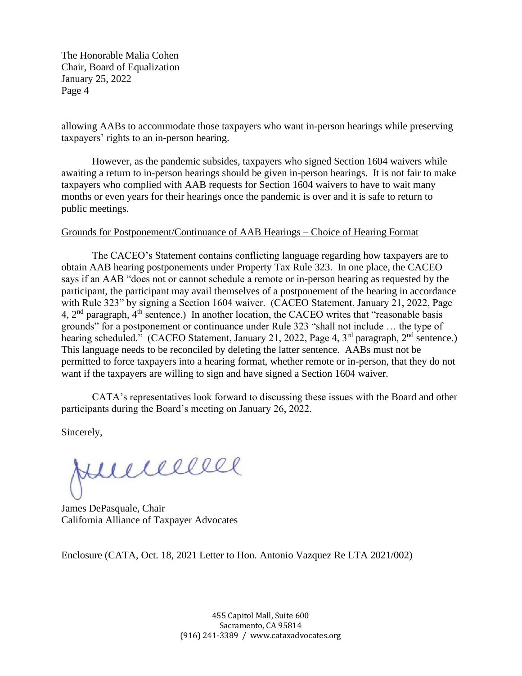allowing AABs to accommodate those taxpayers who want in-person hearings while preserving taxpayers' rights to an in-person hearing.

However, as the pandemic subsides, taxpayers who signed Section 1604 waivers while awaiting a return to in-person hearings should be given in-person hearings. It is not fair to make taxpayers who complied with AAB requests for Section 1604 waivers to have to wait many months or even years for their hearings once the pandemic is over and it is safe to return to public meetings.

## Grounds for Postponement/Continuance of AAB Hearings – Choice of Hearing Format

The CACEO's Statement contains conflicting language regarding how taxpayers are to obtain AAB hearing postponements under Property Tax Rule 323. In one place, the CACEO says if an AAB "does not or cannot schedule a remote or in-person hearing as requested by the participant, the participant may avail themselves of a postponement of the hearing in accordance with Rule 323" by signing a Section 1604 waiver. (CACEO Statement, January 21, 2022, Page 4, 2<sup>nd</sup> paragraph, 4<sup>th</sup> sentence.) In another location, the CACEO writes that "reasonable basis" grounds" for a postponement or continuance under Rule 323 "shall not include … the type of hearing scheduled." (CACEO Statement, January 21, 2022, Page 4, 3<sup>rd</sup> paragraph, 2<sup>nd</sup> sentence.) This language needs to be reconciled by deleting the latter sentence. AABs must not be permitted to force taxpayers into a hearing format, whether remote or in-person, that they do not want if the taxpayers are willing to sign and have signed a Section 1604 waiver.

CATA's representatives look forward to discussing these issues with the Board and other participants during the Board's meeting on January 26, 2022.

Sincerely,

Junnewe

James DePasquale, Chair California Alliance of Taxpayer Advocates

Enclosure (CATA, Oct. 18, 2021 Letter to Hon. Antonio Vazquez Re LTA 2021/002)

 455 Capitol Mall, Suite 600 (916) 241‐3389 / www.cataxadvocates.org Sacramento, CA 95814